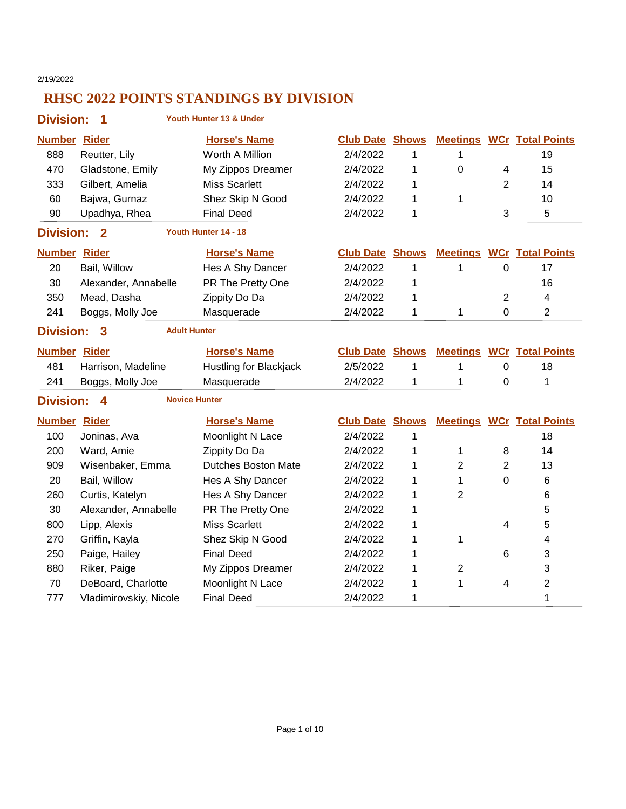2/19/2022

| <b>Division:</b>                                        | 1                         | Youth Hunter 13 & Under    |                        |              |                 |                |                                  |  |  |
|---------------------------------------------------------|---------------------------|----------------------------|------------------------|--------------|-----------------|----------------|----------------------------------|--|--|
| <b>Number Rider</b>                                     |                           | <b>Horse's Name</b>        | <b>Club Date Shows</b> |              |                 |                | <b>Meetings WCr Total Points</b> |  |  |
| 888                                                     | Reutter, Lily             | Worth A Million            | 2/4/2022               | 1            | 1               |                | 19                               |  |  |
| 470                                                     | Gladstone, Emily          | My Zippos Dreamer          | 2/4/2022               | 1            | $\mathbf 0$     | 4              | 15                               |  |  |
| 333                                                     | Gilbert, Amelia           | <b>Miss Scarlett</b>       | 2/4/2022               | 1            |                 | $\overline{2}$ | 14                               |  |  |
| 60                                                      | Bajwa, Gurnaz             | Shez Skip N Good           | 2/4/2022               | 1            | 1               |                | 10                               |  |  |
| 90                                                      | Upadhya, Rhea             | <b>Final Deed</b>          | 2/4/2022               | 1            |                 | 3              | 5                                |  |  |
| Youth Hunter 14 - 18<br><b>Division:</b><br>$\mathbf 2$ |                           |                            |                        |              |                 |                |                                  |  |  |
| <b>Number Rider</b>                                     |                           | <b>Horse's Name</b>        | <b>Club Date</b>       | <b>Shows</b> | <b>Meetings</b> |                | <b>WCr</b> Total Points          |  |  |
| 20                                                      | Bail, Willow              | Hes A Shy Dancer           | 2/4/2022               | 1            | 1               | 0              | 17                               |  |  |
| 30                                                      | Alexander, Annabelle      | PR The Pretty One          | 2/4/2022               | 1            |                 |                | 16                               |  |  |
| 350                                                     | Mead, Dasha               | Zippity Do Da              | 2/4/2022               | 1            |                 | $\overline{2}$ | 4                                |  |  |
| 241                                                     | Boggs, Molly Joe          | Masquerade                 | 2/4/2022               | 1            | 1               | $\mathbf 0$    | $\overline{2}$                   |  |  |
| <b>Division:</b>                                        | <b>Adult Hunter</b><br>3  |                            |                        |              |                 |                |                                  |  |  |
| <b>Number Rider</b>                                     |                           | <b>Horse's Name</b>        | <b>Club Date</b>       | <b>Shows</b> |                 |                | <b>Meetings WCr Total Points</b> |  |  |
| 481                                                     | Harrison, Madeline        | Hustling for Blackjack     | 2/5/2022               | 1            | 1               | 0              | 18                               |  |  |
| 241                                                     | Boggs, Molly Joe          | Masquerade                 | 2/4/2022               | 1            | 1               | 0              | 1                                |  |  |
| <b>Division:</b>                                        | <b>Novice Hunter</b><br>Δ |                            |                        |              |                 |                |                                  |  |  |
| <b>Number Rider</b>                                     |                           | <b>Horse's Name</b>        | <b>Club Date Shows</b> |              |                 |                | <b>Meetings WCr Total Points</b> |  |  |
| 100                                                     | Joninas, Ava              | Moonlight N Lace           | 2/4/2022               | 1            |                 |                | 18                               |  |  |
| 200                                                     | Ward, Amie                | Zippity Do Da              | 2/4/2022               | 1            | 1               | 8              | 14                               |  |  |
| 909                                                     | Wisenbaker, Emma          | <b>Dutches Boston Mate</b> | 2/4/2022               | 1            | 2               | $\overline{2}$ | 13                               |  |  |
| 20                                                      | Bail, Willow              | Hes A Shy Dancer           | 2/4/2022               | 1            | 1               | 0              | 6                                |  |  |
| 260                                                     | Curtis, Katelyn           | Hes A Shy Dancer           | 2/4/2022               | 1            | $\overline{2}$  |                | 6                                |  |  |
| 30                                                      | Alexander, Annabelle      | PR The Pretty One          | 2/4/2022               | 1            |                 |                | 5                                |  |  |
| 800                                                     | Lipp, Alexis              | <b>Miss Scarlett</b>       | 2/4/2022               | 1            |                 | 4              | 5                                |  |  |
| 270                                                     | Griffin, Kayla            | Shez Skip N Good           | 2/4/2022               | 1            | 1               |                | 4                                |  |  |
| 250                                                     | Paige, Hailey             | <b>Final Deed</b>          | 2/4/2022               | 1            |                 | 6              | 3                                |  |  |
| 880                                                     | Riker, Paige              | My Zippos Dreamer          | 2/4/2022               | 1            | $\overline{2}$  |                | 3                                |  |  |
| 70                                                      | DeBoard, Charlotte        | Moonlight N Lace           | 2/4/2022               | 1            | 1               | 4              | $\overline{2}$                   |  |  |
| 777                                                     | Vladimirovskiy, Nicole    | <b>Final Deed</b>          | 2/4/2022               | 1            |                 |                | 1                                |  |  |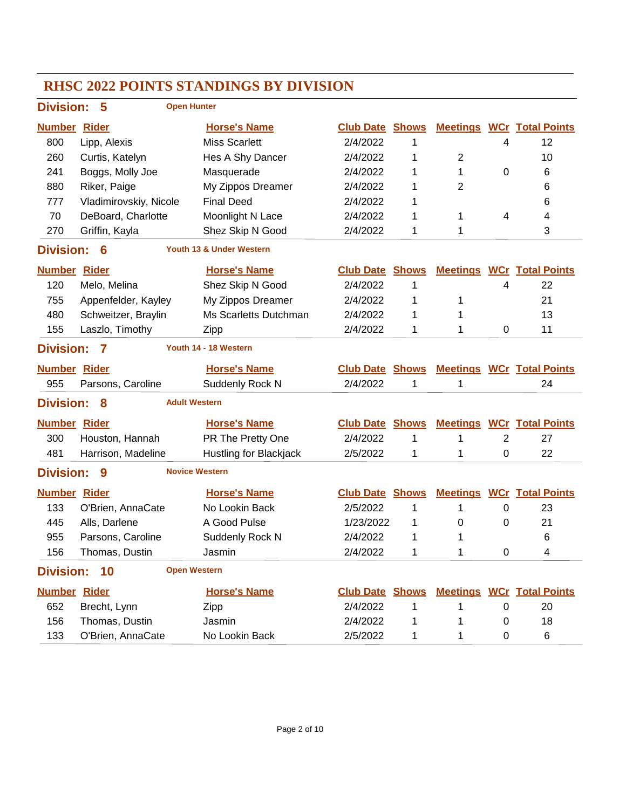### **RHSC 2022 POINTS STANDINGS BY DIVISION Division: 5 Number Rider Horse's Name Club Date Total Points Shows Meetings WCr Open Hunter** 800 Lipp, Alexis Miss Scarlett 2/4/2022 1 4 12 260 Curtis, Katelyn Hes A Shy Dancer 2/4/2022 1 2 10 241 Boggs, Molly Joe Masquerade 2/4/2022 1 1 0 6 880 Riker, Paige My Zippos Dreamer 2/4/2022 1 2 6 777 Vladimirovskiy, Nicole Final Deed 2/4/2022 1 and 2012 1 70 DeBoard, Charlotte Moonlight N Lace  $2/4/2022$  1 1 4 4 270 Griffin, Kayla **Shez Skip N Good** 2/4/2022 1 1 1 3 **Division: 6 Number Rider Horse's Name Club Date Total Points Shows Meetings WCr Youth 13 & Under Western** 120 Melo, Melina Shez Skip N Good 2/4/2022 1 4 22 755 Appenfelder, Kayley My Zippos Dreamer  $2/4/2022$  1 1 1 21 480 Schweitzer, Braylin Ms Scarletts Dutchman  $2/4/2022$  1 1 155 Laszlo, Timothy Zipp 2/4/2022 1 1 0 11 **Division: 7 Number Rider Horse's Name Club Date Total Points Shows Meetings WCr Youth 14 - 18 Western** 955 Parsons, Caroline Suddenly Rock N 2/4/2022 1 1 1 24 **Division: 8 Number Rider Horse's Name Club Date Total Points Shows Meetings WCr Adult Western** 300 Houston, Hannah PR The Pretty One  $2/4/2022$  1 1 2 27 481 Harrison, Madeline Hustling for Blackjack 2/5/2022 1 1 0 22 **Division: 9 Number Rider Horse's Name Club Date Total Points Shows Meetings WCr Novice Western** 133 O'Brien, AnnaCate No Lookin Back 2/5/2022 1 1 0 23 445 Alls, Darlene A Good Pulse 1/23/2022 1 0 0 21 955 Parsons, Caroline Suddenly Rock N 2/4/2022 1 1 1 6 156 Thomas Dustin Jasmin 2/4/2022 1 1 0 4 **Division: 10 Number Rider Horse's Name Club Date Total Points Shows Meetings WCr Open Western** 652 Brecht, Lynn Zipp 2/4/2022 1 1 0 20 156 Thomas Dustin Jasmin 2/4/2022 1 1 0 18 133 O'Brien, AnnaCate No Lookin Back  $2/5/2022$  1 1 0 6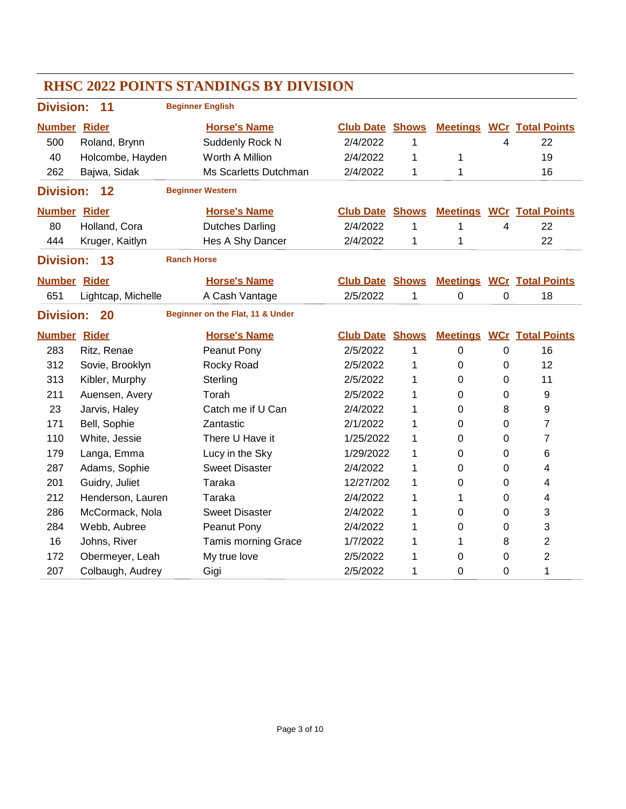| <b>Division:</b>                                           | 11                                           | <b>Beginner English</b>    |                  |              |                 |   |                                  |  |  |
|------------------------------------------------------------|----------------------------------------------|----------------------------|------------------|--------------|-----------------|---|----------------------------------|--|--|
| <b>Number Rider</b>                                        |                                              | <b>Horse's Name</b>        | <b>Club Date</b> | <b>Shows</b> |                 |   | <b>Meetings WCr Total Points</b> |  |  |
| 500                                                        | Roland, Brynn                                | Suddenly Rock N            | 2/4/2022         | 1            |                 | 4 | 22                               |  |  |
| 40                                                         | Holcombe, Hayden                             | Worth A Million            | 2/4/2022         | 1            | 1               |   | 19                               |  |  |
| 262                                                        | Bajwa, Sidak                                 | Ms Scarletts Dutchman      | 2/4/2022         | 1            | 1               |   | 16                               |  |  |
| <b>Division:</b>                                           | 12                                           | <b>Beginner Western</b>    |                  |              |                 |   |                                  |  |  |
| <b>Number Rider</b>                                        |                                              | <b>Horse's Name</b>        | <b>Club Date</b> | <b>Shows</b> |                 |   | <b>Meetings WCr Total Points</b> |  |  |
| 80                                                         | Holland, Cora                                | <b>Dutches Darling</b>     | 2/4/2022         | 1            | $\mathbf{1}$    | 4 | 22                               |  |  |
| 444                                                        | Kruger, Kaitlyn                              | Hes A Shy Dancer           | 2/4/2022         | 1            | 1               |   | 22                               |  |  |
|                                                            | <b>Ranch Horse</b><br>13<br><b>Division:</b> |                            |                  |              |                 |   |                                  |  |  |
| <b>Number Rider</b>                                        |                                              | <b>Horse's Name</b>        | <b>Club Date</b> | <b>Shows</b> |                 |   | <b>Meetings WCr Total Points</b> |  |  |
| 651                                                        | Lightcap, Michelle                           | A Cash Vantage             | 2/5/2022         | 1            | 0               | 0 | 18                               |  |  |
| Beginner on the Flat, 11 & Under<br><b>Division:</b><br>20 |                                              |                            |                  |              |                 |   |                                  |  |  |
| <b>Number Rider</b>                                        |                                              | <b>Horse's Name</b>        | <b>Club Date</b> | <b>Shows</b> | <b>Meetings</b> |   | <b>WCr</b> Total Points          |  |  |
| 283                                                        | Ritz, Renae                                  | Peanut Pony                | 2/5/2022         | 1            | $\mathbf 0$     | 0 | 16                               |  |  |
| 312                                                        | Sovie, Brooklyn                              | Rocky Road                 | 2/5/2022         | 1            | 0               | 0 | 12                               |  |  |
| 313                                                        | Kibler, Murphy                               | Sterling                   | 2/5/2022         | 1            | 0               | 0 | 11                               |  |  |
| 211                                                        | Auensen, Avery                               | Torah                      | 2/5/2022         | 1            | 0               | 0 | 9                                |  |  |
| 23                                                         | Jarvis, Haley                                | Catch me if U Can          | 2/4/2022         | 1            | 0               | 8 | 9                                |  |  |
| 171                                                        | Bell, Sophie                                 | Zantastic                  | 2/1/2022         | 1            | $\Omega$        | 0 | 7                                |  |  |
| 110                                                        | White, Jessie                                | There U Have it            | 1/25/2022        | 1            | $\mathbf 0$     | 0 | $\overline{7}$                   |  |  |
| 179                                                        | Langa, Emma                                  | Lucy in the Sky            | 1/29/2022        | 1            | $\mathbf 0$     | 0 | 6                                |  |  |
| 287                                                        | Adams, Sophie                                | <b>Sweet Disaster</b>      | 2/4/2022         | 1            | 0               | 0 | 4                                |  |  |
| 201                                                        | Guidry, Juliet                               | Taraka                     | 12/27/202        | 1            | 0               | 0 | 4                                |  |  |
| 212                                                        | Henderson, Lauren                            | Taraka                     | 2/4/2022         | 1            | 1               | 0 | 4                                |  |  |
| 286                                                        | McCormack, Nola                              | <b>Sweet Disaster</b>      | 2/4/2022         | 1            | 0               | 0 | 3                                |  |  |
| 284                                                        | Webb, Aubree                                 | Peanut Pony                | 2/4/2022         | 1            | $\mathbf 0$     | 0 | 3                                |  |  |
|                                                            |                                              |                            |                  |              |                 |   |                                  |  |  |
| 16                                                         | Johns, River                                 | <b>Tamis morning Grace</b> | 1/7/2022         | 1            | 1               | 8 | $\overline{2}$                   |  |  |
| 172                                                        | Obermeyer, Leah                              | My true love               | 2/5/2022         | 1            | 0               | 0 | $\overline{2}$                   |  |  |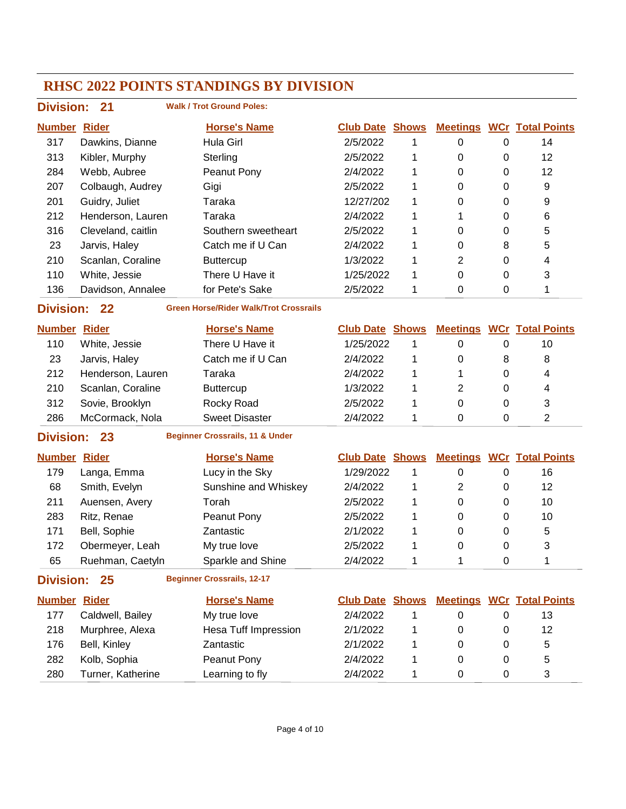| <b>Division:</b>                                                        | 21                 | <b>Walk / Trot Ground Poles:</b>           |                        |              |                  |             |                                  |  |  |
|-------------------------------------------------------------------------|--------------------|--------------------------------------------|------------------------|--------------|------------------|-------------|----------------------------------|--|--|
| <b>Number</b>                                                           | <b>Rider</b>       | <b>Horse's Name</b>                        | <b>Club Date Shows</b> |              |                  |             | <b>Meetings WCr Total Points</b> |  |  |
| 317                                                                     | Dawkins, Dianne    | Hula Girl                                  | 2/5/2022               | 1            | $\pmb{0}$        | 0           | 14                               |  |  |
| 313                                                                     | Kibler, Murphy     | Sterling                                   | 2/5/2022               | 1            | 0                | 0           | 12                               |  |  |
| 284                                                                     | Webb, Aubree       | Peanut Pony                                | 2/4/2022               | 1            | 0                | 0           | 12                               |  |  |
| 207                                                                     | Colbaugh, Audrey   | Gigi                                       | 2/5/2022               | 1            | 0                | 0           | 9                                |  |  |
| 201                                                                     | Guidry, Juliet     | Taraka                                     | 12/27/202              | 1            | 0                | 0           | 9                                |  |  |
| 212                                                                     | Henderson, Lauren  | Taraka                                     | 2/4/2022               | 1            | 1                | 0           | 6                                |  |  |
| 316                                                                     | Cleveland, caitlin | Southern sweetheart                        | 2/5/2022               | 1            | 0                | 0           | 5                                |  |  |
| 23                                                                      | Jarvis, Haley      | Catch me if U Can                          | 2/4/2022               | 1            | 0                | 8           | 5                                |  |  |
| 210                                                                     | Scanlan, Coraline  | <b>Buttercup</b>                           | 1/3/2022               | 1            | 2                | 0           | 4                                |  |  |
| 110                                                                     | White, Jessie      | There U Have it                            | 1/25/2022              | 1            | 0                | 0           | 3                                |  |  |
| 136                                                                     | Davidson, Annalee  | for Pete's Sake                            | 2/5/2022               | 1            | 0                | 0           | 1                                |  |  |
| <b>Green Horse/Rider Walk/Trot Crossrails</b><br><b>Division:</b><br>22 |                    |                                            |                        |              |                  |             |                                  |  |  |
| <b>Number Rider</b>                                                     |                    | <b>Horse's Name</b>                        | <b>Club Date Shows</b> |              |                  |             | <b>Meetings WCr Total Points</b> |  |  |
| 110                                                                     | White, Jessie      | There U Have it                            | 1/25/2022              | 1            | 0                | $\pmb{0}$   | 10                               |  |  |
| 23                                                                      | Jarvis, Haley      | Catch me if U Can                          | 2/4/2022               | 1            | 0                | 8           | 8                                |  |  |
| 212                                                                     | Henderson, Lauren  | Taraka                                     | 2/4/2022               | 1            | 1                | $\Omega$    | 4                                |  |  |
| 210                                                                     | Scanlan, Coraline  | <b>Buttercup</b>                           | 1/3/2022               | 1            | 2                | 0           | 4                                |  |  |
| 312                                                                     | Sovie, Brooklyn    | Rocky Road                                 | 2/5/2022               | 1            | 0                | 0           | 3                                |  |  |
| 286                                                                     | McCormack, Nola    | <b>Sweet Disaster</b>                      | 2/4/2022               | 1            | 0                | $\mathbf 0$ | $\overline{2}$                   |  |  |
| <b>Division:</b>                                                        | 23                 | <b>Beginner Crossrails, 11 &amp; Under</b> |                        |              |                  |             |                                  |  |  |
| <b>Number</b>                                                           | <b>Rider</b>       | <b>Horse's Name</b>                        | <b>Club Date</b>       | <b>Shows</b> |                  |             | <b>Meetings WCr Total Points</b> |  |  |
| 179                                                                     | Langa, Emma        | Lucy in the Sky                            | 1/29/2022              | 1            | $\pmb{0}$        | $\pmb{0}$   | 16                               |  |  |
| 68                                                                      | Smith, Evelyn      | Sunshine and Whiskey                       | 2/4/2022               | 1            | 2                | 0           | 12                               |  |  |
| 211                                                                     | Auensen, Avery     | Torah                                      | 2/5/2022               | 1            | 0                | 0           | 10                               |  |  |
| 283                                                                     | Ritz, Renae        | Peanut Pony                                | 2/5/2022               | 1            | 0                | 0           | 10                               |  |  |
| 171                                                                     | Bell, Sophie       | Zantastic                                  | 2/1/2022               | 1            | 0                | 0           | 5                                |  |  |
| 172                                                                     | Obermeyer, Leah    | My true love                               | 2/5/2022               | 1            | 0                | 0           | 3                                |  |  |
| 65                                                                      | Ruehman, Caetyln   | Sparkle and Shine                          | 2/4/2022               |              |                  | 0           | 1                                |  |  |
| <b>Division:</b>                                                        | 25                 | <b>Beginner Crossrails, 12-17</b>          |                        |              |                  |             |                                  |  |  |
| <b>Number Rider</b>                                                     |                    | <b>Horse's Name</b>                        | <b>Club Date Shows</b> |              |                  |             | <b>Meetings WCr Total Points</b> |  |  |
| 177                                                                     | Caldwell, Bailey   | My true love                               | 2/4/2022               | 1            | 0                | 0           | 13                               |  |  |
| 218                                                                     | Murphree, Alexa    | <b>Hesa Tuff Impression</b>                | 2/1/2022               | 1            | 0                | 0           | 12                               |  |  |
| 176                                                                     | Bell, Kinley       | Zantastic                                  | 2/1/2022               | 1            | 0                | 0           | 5                                |  |  |
| 282                                                                     | Kolb, Sophia       | Peanut Pony                                | 2/4/2022               | 1            | 0                | 0           | 5                                |  |  |
| 280                                                                     | Turner, Katherine  | Learning to fly                            | 2/4/2022               | 1            | $\boldsymbol{0}$ | $\pmb{0}$   | 3                                |  |  |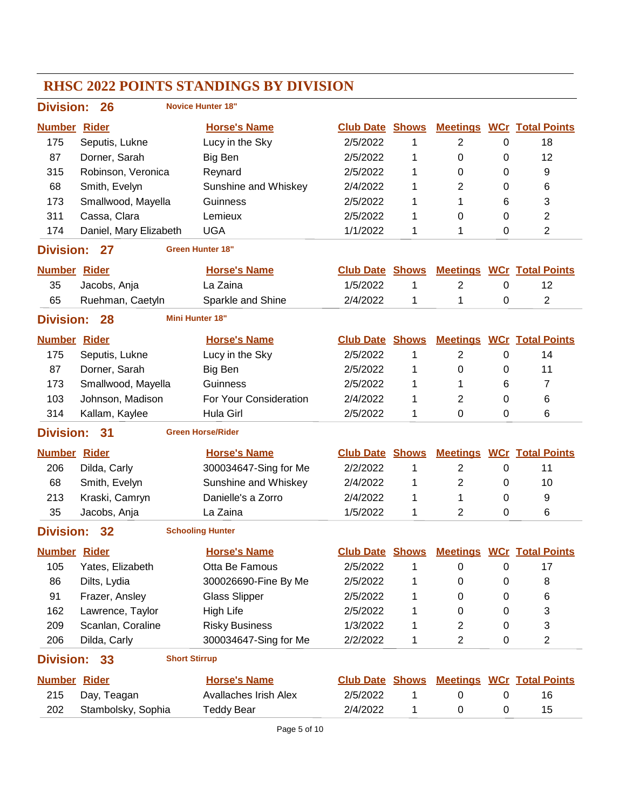### **RHSC 2022 POINTS STANDINGS BY DIVISION Division: 26 Number Rider Horse's Name Club Date Total Points Shows Meetings WCr Novice Hunter 18"** 175 Seputis, Lukne Lucy in the Sky  $2/5/2022$  1 2 0 18 87 Dorner, Sarah Big Ben 2/5/2022 1 0 0 12 315 Robinson, Veronica Reynard 2/5/2022 1 0 0 9 68 Smith, Evelyn Sunshine and Whiskey 2/4/2022 1 2 0 6 173 Smallwood, Mayella Guinness 2/5/2022 1 1 6 3 311 Cassa, Clara Lemieux 2/5/2022 1 0 0 2 174 Daniel, Mary Elizabeth UGA 1/1/2022 1 1 0 2 **Division: 27 Number Rider Horse's Name Club Date Total Points Shows Meetings WCr Green Hunter 18"** 35 Jacobs, Anja La Zaina 1/5/2022 1 2 0 12 65 Ruehman, Caetyln Sparkle and Shine  $2/4/2022$  1 1 0 2 **Division: 28 Number Rider Horse's Name Club Date Total Points Shows Meetings WCr Mini Hunter 18"** 175 Seputis, Lukne Lucy in the Sky  $2/5/2022$  1 2 0 14 87 Dorner, Sarah Big Ben 2/5/2022 1 0 0 11 173 Smallwood, Mayella Guinness 2/5/2022 1 1 6 7 103 Johnson, Madison For Your Consideration 2/4/2022 1 2 0 6 314 Kallam, Kaylee Hula Girl 2/5/2022 1 0 0 6 **Division: 31 Number Rider Horse's Name Club Date Total Points Shows Meetings WCr Green Horse/Rider** 206 Dilda, Carly 300034647-Sing for Me 2/2/2022 1 2 0 11 68 Smith, Evelyn Sunshine and Whiskey 2/4/2022 1 2 0 10 213 Kraski, Camryn Danielle's a Zorro 2/4/2022 1 1 0 9 35 Jacobs, Anja La Zaina 1/5/2022 1 2 0 6 **Division: 32 Number Rider Horse's Name Club Date Total Points Shows Meetings WCr Schooling Hunter** 105 Yates, Elizabeth Otta Be Famous  $2/5/2022$  1 0 0 17 86 Dilts, Lydia 300026690-Fine By Me 2/5/2022 1 0 0 8 91 Frazer, Ansley Glass Slipper 2/5/2022 1 0 0 6 162 Lawrence, Taylor High Life 2/5/2022 1 0 0 3 209 Scanlan, Coraline Risky Business 1/3/2022 1 2 0 3 206 Dilda, Carly 300034647-Sing for Me 2/2/2022 1 2 0 2 **Division: 33 Number Rider Horse's Name Club Date Total Points Shows Meetings WCr Short Stirrup** 215 Day, Teagan Avallaches Irish Alex 2/5/2022 1 0 16 202 Stambolsky, Sophia Teddy Bear 2/4/2022 1 0 0 15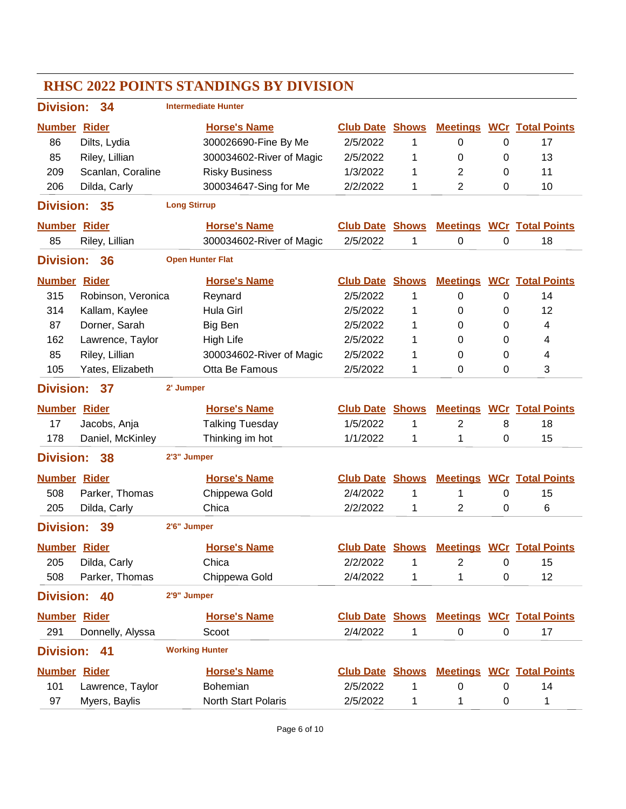| <b>Division:</b><br>34 |                    | <b>Intermediate Hunter</b> |                          |                        |              |                 |             |                                  |  |
|------------------------|--------------------|----------------------------|--------------------------|------------------------|--------------|-----------------|-------------|----------------------------------|--|
| <b>Number Rider</b>    |                    |                            | <b>Horse's Name</b>      | <b>Club Date</b>       | <b>Shows</b> | <b>Meetings</b> |             | <b>WCr Total Points</b>          |  |
| 86                     | Dilts, Lydia       |                            | 300026690-Fine By Me     | 2/5/2022               | 1            | 0               | 0           | 17                               |  |
| 85                     | Riley, Lillian     |                            | 300034602-River of Magic | 2/5/2022               | 1            | 0               | 0           | 13                               |  |
| 209                    | Scanlan, Coraline  |                            | <b>Risky Business</b>    | 1/3/2022               | 1            | $\overline{2}$  | 0           | 11                               |  |
| 206                    | Dilda, Carly       |                            | 300034647-Sing for Me    | 2/2/2022               | 1            | $\overline{2}$  | 0           | 10                               |  |
| <b>Division:</b>       | 35                 | <b>Long Stirrup</b>        |                          |                        |              |                 |             |                                  |  |
| <b>Number Rider</b>    |                    |                            | <b>Horse's Name</b>      | <b>Club Date</b>       | <b>Shows</b> | <b>Meetings</b> |             | <b>WCr Total Points</b>          |  |
| 85                     | Riley, Lillian     |                            | 300034602-River of Magic | 2/5/2022               | 1            | 0               | 0           | 18                               |  |
| <b>Division:</b>       | 36                 | <b>Open Hunter Flat</b>    |                          |                        |              |                 |             |                                  |  |
| <b>Number Rider</b>    |                    |                            | <b>Horse's Name</b>      | <b>Club Date</b>       | <b>Shows</b> | <b>Meetings</b> |             | <b>WCr</b> Total Points          |  |
| 315                    | Robinson, Veronica |                            | Reynard                  | 2/5/2022               | 1            | $\pmb{0}$       | $\mathbf 0$ | 14                               |  |
| 314                    | Kallam, Kaylee     |                            | Hula Girl                | 2/5/2022               | 1            | 0               | 0           | 12                               |  |
| 87                     | Dorner, Sarah      |                            | Big Ben                  | 2/5/2022               | 1            | 0               | 0           | 4                                |  |
| 162                    | Lawrence, Taylor   |                            | High Life                | 2/5/2022               | 1            | 0               | 0           | 4                                |  |
| 85                     | Riley, Lillian     |                            | 300034602-River of Magic | 2/5/2022               | 1            | 0               | 0           | 4                                |  |
| 105                    | Yates, Elizabeth   |                            | Otta Be Famous           | 2/5/2022               | 1            | 0               | 0           | 3                                |  |
| <b>Division:</b><br>37 |                    | 2' Jumper                  |                          |                        |              |                 |             |                                  |  |
| <b>Number Rider</b>    |                    |                            | <b>Horse's Name</b>      | <b>Club Date</b>       | <b>Shows</b> | <b>Meetings</b> |             | <b>WCr</b> Total Points          |  |
| 17                     | Jacobs, Anja       |                            | <b>Talking Tuesday</b>   | 1/5/2022               | 1            | 2               | 8           | 18                               |  |
| 178                    | Daniel, McKinley   |                            | Thinking im hot          | 1/1/2022               | 1            | 1               | 0           | 15                               |  |
| <b>Division:</b>       | 38                 | 2'3" Jumper                |                          |                        |              |                 |             |                                  |  |
| <b>Number Rider</b>    |                    |                            | <b>Horse's Name</b>      | <b>Club Date</b>       | <b>Shows</b> | <b>Meetings</b> |             | <b>WCr</b> Total Points          |  |
| 508                    | Parker, Thomas     |                            | Chippewa Gold            | 2/4/2022               | 1            | 1               | 0           | 15                               |  |
| 205                    | Dilda, Carly       |                            | Chica                    | 2/2/2022               | 1            | 2               | 0           | 6                                |  |
| <b>Division:</b>       | 39                 | 2'6" Jumper                |                          |                        |              |                 |             |                                  |  |
| <b>Number Rider</b>    |                    |                            | <b>Horse's Name</b>      | <b>Club Date Shows</b> |              |                 |             | <b>Meetings WCr Total Points</b> |  |
| 205                    | Dilda, Carly       |                            | Chica                    | 2/2/2022               | 1            | 2               | 0           | 15                               |  |
| 508                    | Parker, Thomas     |                            | Chippewa Gold            | 2/4/2022               | 1            | 1               | 0           | 12                               |  |
| <b>Division:</b>       | 40                 | 2'9" Jumper                |                          |                        |              |                 |             |                                  |  |
| <b>Number Rider</b>    |                    |                            | <b>Horse's Name</b>      | <b>Club Date Shows</b> |              |                 |             | <b>Meetings WCr Total Points</b> |  |
| 291                    | Donnelly, Alyssa   |                            | Scoot                    | 2/4/2022               | 1            | $\pmb{0}$       | $\pmb{0}$   | 17                               |  |
| <b>Division:</b>       | 41                 | <b>Working Hunter</b>      |                          |                        |              |                 |             |                                  |  |
| <b>Number Rider</b>    |                    |                            | <b>Horse's Name</b>      | <b>Club Date Shows</b> |              |                 |             | <b>Meetings WCr Total Points</b> |  |
| 101                    | Lawrence, Taylor   |                            | Bohemian                 | 2/5/2022               | 1            | 0               | $\pmb{0}$   | 14                               |  |
| 97                     | Myers, Baylis      |                            | North Start Polaris      | 2/5/2022               | 1            | 1               | 0           | 1                                |  |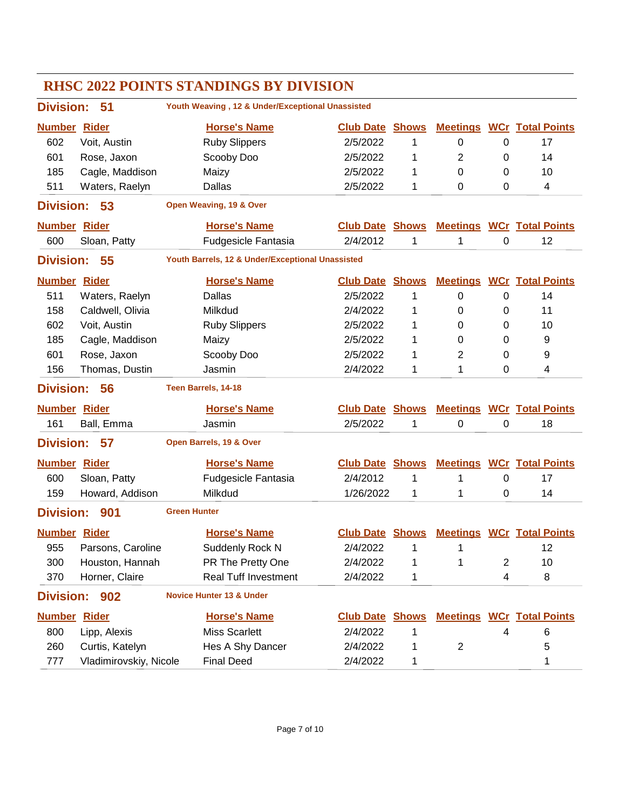| <b>RHSC 2022 POINTS STANDINGS BY DIVISION</b> |                                                                            |                     |                                                  |                        |              |                 |                |                                  |  |
|-----------------------------------------------|----------------------------------------------------------------------------|---------------------|--------------------------------------------------|------------------------|--------------|-----------------|----------------|----------------------------------|--|
|                                               | Youth Weaving, 12 & Under/Exceptional Unassisted<br><b>Division:</b><br>51 |                     |                                                  |                        |              |                 |                |                                  |  |
| <b>Number Rider</b>                           |                                                                            |                     | <b>Horse's Name</b>                              | <b>Club Date</b>       | <b>Shows</b> | <b>Meetings</b> |                | <b>WCr</b> Total Points          |  |
| 602                                           | Voit, Austin                                                               |                     | <b>Ruby Slippers</b>                             | 2/5/2022               | 1            | 0               | 0              | 17                               |  |
| 601                                           | Rose, Jaxon                                                                |                     | Scooby Doo                                       | 2/5/2022               | 1            | 2               | 0              | 14                               |  |
| 185                                           | Cagle, Maddison                                                            |                     | Maizy                                            | 2/5/2022               | 1            | 0               | 0              | 10                               |  |
| 511                                           | Waters, Raelyn                                                             |                     | <b>Dallas</b>                                    | 2/5/2022               | 1            | 0               | $\Omega$       | 4                                |  |
| <b>Division:</b>                              | 53                                                                         |                     | Open Weaving, 19 & Over                          |                        |              |                 |                |                                  |  |
| <b>Number Rider</b>                           |                                                                            |                     | <b>Horse's Name</b>                              | <b>Club Date</b>       | <b>Shows</b> | <b>Meetings</b> |                | <b>WCr</b> Total Points          |  |
| 600                                           | Sloan, Patty                                                               |                     | Fudgesicle Fantasia                              | 2/4/2012               | 1            | 1               | 0              | 12                               |  |
| <b>Division:</b>                              | 55                                                                         |                     | Youth Barrels, 12 & Under/Exceptional Unassisted |                        |              |                 |                |                                  |  |
| <b>Number Rider</b>                           |                                                                            |                     | <b>Horse's Name</b>                              | <b>Club Date</b>       | <b>Shows</b> |                 |                | <b>Meetings WCr Total Points</b> |  |
| 511                                           | Waters, Raelyn                                                             |                     | <b>Dallas</b>                                    | 2/5/2022               | 1            | 0               | 0              | 14                               |  |
| 158                                           | Caldwell, Olivia                                                           |                     | Milkdud                                          | 2/4/2022               | 1            | 0               | 0              | 11                               |  |
| 602                                           | Voit, Austin                                                               |                     | <b>Ruby Slippers</b>                             | 2/5/2022               | 1            | 0               | 0              | 10                               |  |
| 185                                           | Cagle, Maddison                                                            |                     | Maizy                                            | 2/5/2022               | 1            | 0               | 0              | 9                                |  |
| 601                                           | Rose, Jaxon                                                                |                     | Scooby Doo                                       | 2/5/2022               | 1            | 2               | 0              | 9                                |  |
| 156                                           | Thomas, Dustin                                                             |                     | Jasmin                                           | 2/4/2022               | 1            | 1               | 0              | 4                                |  |
| <b>Division:</b>                              | 56                                                                         |                     | Teen Barrels, 14-18                              |                        |              |                 |                |                                  |  |
| <b>Number Rider</b>                           |                                                                            |                     | <b>Horse's Name</b>                              | <b>Club Date Shows</b> |              | <b>Meetings</b> |                | <b>WCr</b> Total Points          |  |
| 161                                           | Ball, Emma                                                                 |                     | Jasmin                                           | 2/5/2022               | 1            | 0               | 0              | 18                               |  |
| <b>Division:</b>                              | 57                                                                         |                     | Open Barrels, 19 & Over                          |                        |              |                 |                |                                  |  |
| <b>Number Rider</b>                           |                                                                            |                     | <b>Horse's Name</b>                              | <b>Club Date Shows</b> |              |                 |                | <b>Meetings WCr Total Points</b> |  |
| 600                                           | Sloan, Patty                                                               |                     | <b>Fudgesicle Fantasia</b>                       | 2/4/2012               | 1            | 1               | 0              | 17                               |  |
| 159                                           | Howard, Addison                                                            |                     | Milkdud                                          | 1/26/2022              | 1            | 1               | $\Omega$       | 14                               |  |
| <b>Division:</b>                              | 901                                                                        | <b>Green Hunter</b> |                                                  |                        |              |                 |                |                                  |  |
| Number Rider                                  |                                                                            |                     | <b>Horse's Name</b>                              | <b>Club Date Shows</b> |              |                 |                | <b>Meetings WCr Total Points</b> |  |
| 955                                           | Parsons, Caroline                                                          |                     | Suddenly Rock N                                  | 2/4/2022               |              | 1               |                | 12                               |  |
| 300                                           | Houston, Hannah                                                            |                     | PR The Pretty One                                | 2/4/2022               | 1            | 1               | $\overline{2}$ | 10                               |  |
| 370                                           | Horner, Claire                                                             |                     | <b>Real Tuff Investment</b>                      | 2/4/2022               | 1            |                 | 4              | 8                                |  |
| <b>Division:</b>                              | 902                                                                        |                     | <b>Novice Hunter 13 &amp; Under</b>              |                        |              |                 |                |                                  |  |
| <b>Number Rider</b>                           |                                                                            |                     | <b>Horse's Name</b>                              | <b>Club Date Shows</b> |              |                 |                | <b>Meetings WCr Total Points</b> |  |
| 800                                           | Lipp, Alexis                                                               |                     | <b>Miss Scarlett</b>                             | 2/4/2022               | 1            |                 | 4              | 6                                |  |
| 260                                           | Curtis, Katelyn                                                            |                     | Hes A Shy Dancer                                 | 2/4/2022               | 1            | $\overline{c}$  |                | 5                                |  |
| 777                                           | Vladimirovskiy, Nicole                                                     |                     | <b>Final Deed</b>                                | 2/4/2022               | 1            |                 |                | 1                                |  |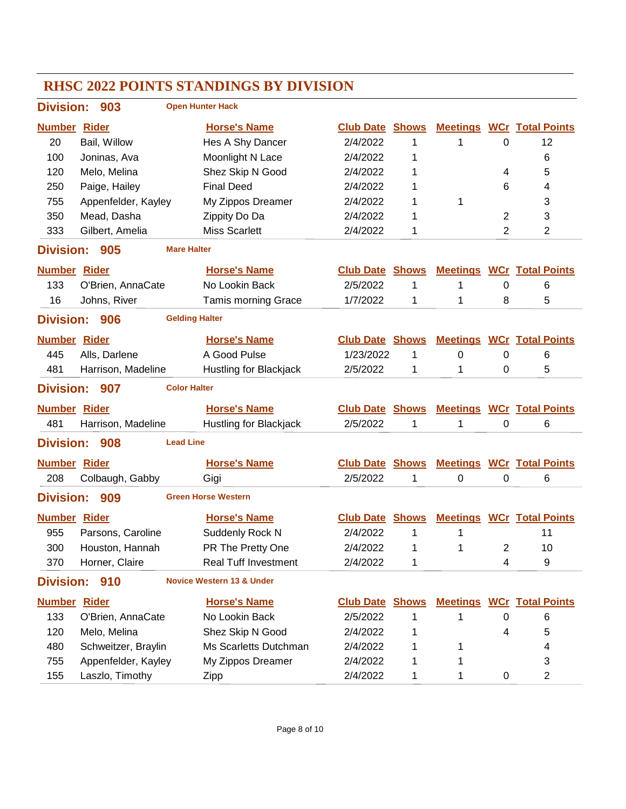### **RHSC 2022 POINTS STANDINGS BY DIVISION Division: 903 Number Rider Horse's Name Club Date Total Points Shows Meetings WCr Open Hunter Hack** 20 Bail, Willow **Hes A Shy Dancer** 2/4/2022 1 1 0 12 100 Joninas, Ava Moonlight N Lace 2/4/2022 1 6 120 Melo, Melina Shez Skip N Good 2/4/2022 1 4 5 250 Paige, Hailey **Final Deed** 2/4/2022 1 6 4 755 Appenfelder, Kayley My Zippos Dreamer  $2/4/2022$  1 1 3 350 Mead, Dasha Zippity Do Da 2/4/2022 1 2 3 333 Gilbert, Amelia Miss Scarlett 2/4/2022 1 2 2 **Division: 905 Number Rider Horse's Name Club Date Total Points Shows Meetings WCr Mare Halter** 133 O'Brien, AnnaCate No Lookin Back 2/5/2022 1 1 0 6 16 Johns, River Tamis morning Grace 1/7/2022 1 1 8 5 **Division: 906 Number Rider Horse's Name Club Date Total Points Shows Meetings WCr Gelding Halter** 445 Alls, Darlene A Good Pulse 1/23/2022 1 0 0 6 481 Harrison, Madeline Hustling for Blackiack  $2/5/2022$  1 1 0 5 **Division: 907 Number Rider Horse's Name Club Date Total Points Shows Meetings WCr Color Halter** 481 Harrison, Madeline Hustling for Blackjack 2/5/2022 1 1 0 6 **Division: 908 Number Rider Horse's Name Club Date Total Points Shows Meetings WCr Lead Line** 208 Colbaugh, Gabby Gigi 2/5/2022 1 0 0 6 **Division: 909 Number Rider Horse's Name Club Date Total Points Shows Meetings WCr Green Horse Western** 955 Parsons, Caroline Suddenly Rock N 2/4/2022 1 1 300 Houston, Hannah PR The Pretty One  $\frac{2}{4}$ 2022 1 1 2 10 370 Horner, Claire **Real Tuff Investment** 2/4/2022 1 4 9 **Division: 910 Number Rider Horse's Name Club Date Total Points Shows Meetings WCr Novice Western 13 & Under** 133 O'Brien, AnnaCate No Lookin Back 2/5/2022 1 1 0 6 120 Melo, Melina Shez Skip N Good 2/4/2022 1 4 5 480 Schweitzer, Braylin Ms Scarletts Dutchman  $2/4/2022$  1 1 1 4 755 Appenfelder, Kayley My Zippos Dreamer  $2/4/2022$  1 1 3 155 Laszlo, Timothy Zipp 2/4/2022 1 1 0 2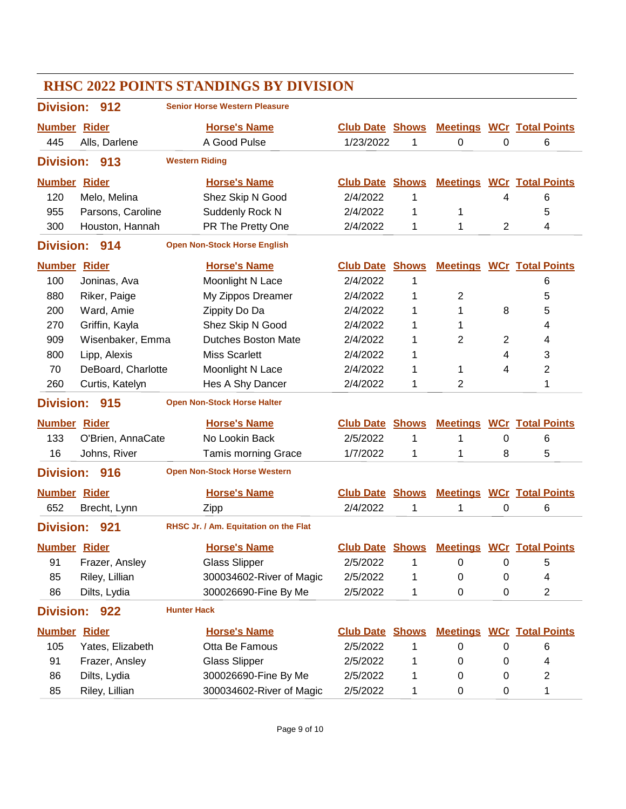| <b>RHSC 2022 POINTS STANDINGS BY DIVISION</b> |                    |                       |                                       |                        |              |                |                |                                  |
|-----------------------------------------------|--------------------|-----------------------|---------------------------------------|------------------------|--------------|----------------|----------------|----------------------------------|
| <b>Division:</b>                              | 912                |                       | <b>Senior Horse Western Pleasure</b>  |                        |              |                |                |                                  |
| <b>Number Rider</b>                           |                    |                       | <b>Horse's Name</b>                   | <b>Club Date Shows</b> |              |                |                | <b>Meetings WCr Total Points</b> |
| 445                                           | Alls, Darlene      |                       | A Good Pulse                          | 1/23/2022              | 1            | 0              | 0              | 6                                |
| <b>Division:</b>                              | 913                | <b>Western Riding</b> |                                       |                        |              |                |                |                                  |
| <b>Number Rider</b>                           |                    |                       | <b>Horse's Name</b>                   | <b>Club Date</b>       | <b>Shows</b> |                |                | <b>Meetings WCr Total Points</b> |
| 120                                           | Melo, Melina       |                       | Shez Skip N Good                      | 2/4/2022               | 1            |                | 4              | 6                                |
| 955                                           | Parsons, Caroline  |                       | Suddenly Rock N                       | 2/4/2022               | 1            | 1              |                | 5                                |
| 300                                           | Houston, Hannah    |                       | PR The Pretty One                     | 2/4/2022               | 1            | 1              | $\overline{2}$ | 4                                |
| <b>Division:</b>                              | 914                |                       | <b>Open Non-Stock Horse English</b>   |                        |              |                |                |                                  |
| <b>Number Rider</b>                           |                    |                       | <b>Horse's Name</b>                   | <b>Club Date</b>       | <b>Shows</b> |                |                | <b>Meetings WCr Total Points</b> |
| 100                                           | Joninas, Ava       |                       | Moonlight N Lace                      | 2/4/2022               | 1            |                |                | 6                                |
| 880                                           | Riker, Paige       |                       | My Zippos Dreamer                     | 2/4/2022               | 1            | $\overline{2}$ |                | 5                                |
| 200                                           | Ward, Amie         |                       | Zippity Do Da                         | 2/4/2022               | 1            | 1              | 8              | 5                                |
| 270                                           | Griffin, Kayla     |                       | Shez Skip N Good                      | 2/4/2022               | 1            | 1              |                | 4                                |
| 909                                           | Wisenbaker, Emma   |                       | <b>Dutches Boston Mate</b>            | 2/4/2022               | 1            | 2              | $\overline{2}$ | 4                                |
| 800                                           | Lipp, Alexis       |                       | <b>Miss Scarlett</b>                  | 2/4/2022               | 1            |                | 4              | 3                                |
| 70                                            | DeBoard, Charlotte |                       | Moonlight N Lace                      | 2/4/2022               | 1            | 1              | 4              | 2                                |
| 260                                           | Curtis, Katelyn    |                       | Hes A Shy Dancer                      | 2/4/2022               | 1            | 2              |                | 1                                |
| <b>Division:</b>                              | 915                |                       | <b>Open Non-Stock Horse Halter</b>    |                        |              |                |                |                                  |
| <b>Number Rider</b>                           |                    |                       | <b>Horse's Name</b>                   | <b>Club Date</b>       | <b>Shows</b> |                |                | <b>Meetings WCr Total Points</b> |
| 133                                           | O'Brien, AnnaCate  |                       | No Lookin Back                        | 2/5/2022               | 1            | 1              | 0              | 6                                |
| 16                                            | Johns, River       |                       | <b>Tamis morning Grace</b>            | 1/7/2022               | 1            | 1              | 8              | 5                                |
| <b>Division:</b>                              | 916                |                       | <b>Open Non-Stock Horse Western</b>   |                        |              |                |                |                                  |
| <b>Number Rider</b>                           |                    |                       | <b>Horse's Name</b>                   | <b>Club Date Shows</b> |              |                |                | <b>Meetings WCr Total Points</b> |
| 652                                           | Brecht, Lynn       |                       | Zipp                                  | 2/4/2022               | 1            | 1              | 0              | 6                                |
| <b>Division:</b>                              | 921                |                       | RHSC Jr. / Am. Equitation on the Flat |                        |              |                |                |                                  |
| <b>Number Rider</b>                           |                    |                       | <b>Horse's Name</b>                   | <b>Club Date Shows</b> |              |                |                | <b>Meetings WCr Total Points</b> |
| 91                                            | Frazer, Ansley     |                       | <b>Glass Slipper</b>                  | 2/5/2022               | 1            | 0              | 0              | 5                                |
| 85                                            | Riley, Lillian     |                       | 300034602-River of Magic              | 2/5/2022               | 1            | 0              | 0              | 4                                |
| 86                                            | Dilts, Lydia       |                       | 300026690-Fine By Me                  | 2/5/2022               | 1            | 0              | 0              | $\overline{c}$                   |
| <b>Division:</b>                              | 922                | <b>Hunter Hack</b>    |                                       |                        |              |                |                |                                  |
| <b>Number Rider</b>                           |                    |                       | <b>Horse's Name</b>                   | <b>Club Date Shows</b> |              |                |                | <b>Meetings WCr Total Points</b> |
| 105                                           | Yates, Elizabeth   |                       | Otta Be Famous                        | 2/5/2022               | 1            | $\pmb{0}$      | 0              | 6                                |
| 91                                            | Frazer, Ansley     |                       | <b>Glass Slipper</b>                  | 2/5/2022               | 1            | 0              | 0              | 4                                |
| 86                                            | Dilts, Lydia       |                       | 300026690-Fine By Me                  | 2/5/2022               | 1            | 0              | 0              | 2                                |
| 85                                            | Riley, Lillian     |                       | 300034602-River of Magic              | 2/5/2022               | 1            | 0              | 0              | 1                                |